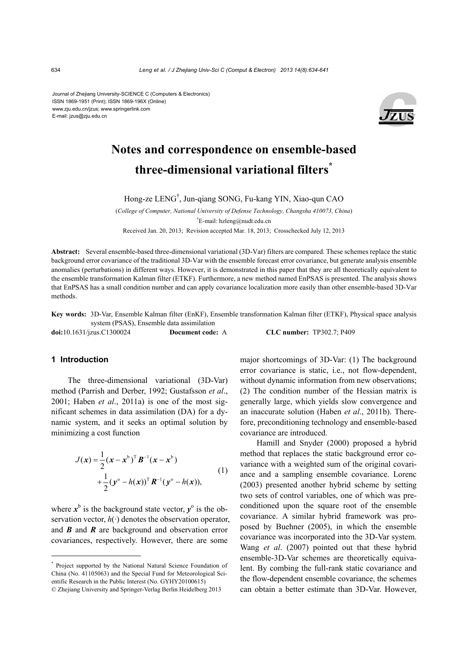Journal of Zhejiang University-SCIENCE C (Computers & Electronics) ISSN 1869-1951 (Print); ISSN 1869-196X (Online) www.zju.edu.cn/jzus; www.springerlink.com E-mail: jzus@zju.edu.cn



# **Notes and correspondence on ensemble-based three-dimensional variational filters\***

Hong-ze LENG† , Jun-qiang SONG, Fu-kang YIN, Xiao-qun CAO

(*College of Computer, National University of Defense Technology, Changsha 410073, China*) <sup>†</sup>E-mail: hzleng@nudt.edu.cn

Received Jan. 20, 2013; Revision accepted Mar. 18, 2013; Crosschecked July 12, 2013

**Abstract:** Several ensemble-based three-dimensional variational (3D-Var) filters are compared. These schemes replace the static background error covariance of the traditional 3D-Var with the ensemble forecast error covariance, but generate analysis ensemble anomalies (perturbations) in different ways. However, it is demonstrated in this paper that they are all theoretically equivalent to the ensemble transformation Kalman filter (ETKF). Furthermore, a new method named EnPSAS is presented. The analysis shows that EnPSAS has a small condition number and can apply covariance localization more easily than other ensemble-based 3D-Var methods.

**Key words:** 3D-Var, Ensemble Kalman filter (EnKF), Ensemble transformation Kalman filter (ETKF), Physical space analysis system (PSAS), Ensemble data assimilation

| doi:10.1631/jzus.C1300024<br>Document code: A |  |
|-----------------------------------------------|--|
|-----------------------------------------------|--|

**doi:**10.1631/jzus.C1300024 **Document code:** A **CLC number:** TP302.7; P409

# **1 Introduction**

The three-dimensional variational (3D-Var) method (Parrish and Derber, 1992; Gustafsson *et al*., 2001; Haben *et al*., 2011a) is one of the most significant schemes in data assimilation (DA) for a dynamic system, and it seeks an optimal solution by minimizing a cost function

$$
J(x) = \frac{1}{2} (x - x^{b})^{\mathrm{T}} B^{-1} (x - x^{b})
$$
  
+ 
$$
\frac{1}{2} (y^{o} - h(x))^{\mathrm{T}} R^{-1} (y^{o} - h(x)),
$$
 (1)

where  $x^b$  is the background state vector,  $y^o$  is the observation vector,  $h(\cdot)$  denotes the observation operator, and *B* and *R* are background and observation error covariances, respectively. However, there are some

major shortcomings of 3D-Var: (1) The background error covariance is static, i.e., not flow-dependent, without dynamic information from new observations; (2) The condition number of the Hessian matrix is generally large, which yields slow convergence and an inaccurate solution (Haben *et al*., 2011b). Therefore, preconditioning technology and ensemble-based covariance are introduced.

Hamill and Snyder (2000) proposed a hybrid method that replaces the static background error covariance with a weighted sum of the original covariance and a sampling ensemble covariance. Lorenc (2003) presented another hybrid scheme by setting two sets of control variables, one of which was preconditioned upon the square root of the ensemble covariance. A similar hybrid framework was proposed by Buehner (2005), in which the ensemble covariance was incorporated into the 3D-Var system. Wang *et al*. (2007) pointed out that these hybrid ensemble-3D-Var schemes are theoretically equivalent. By combing the full-rank static covariance and the flow-dependent ensemble covariance, the schemes can obtain a better estimate than 3D-Var. However,

<sup>\*</sup> Project supported by the National Natural Science Foundation of China (No. 41105063) and the Special Fund for Meteorological Scientific Research in the Public Interest (No. GYHY20100615) © Zhejiang University and Springer-Verlag Berlin Heidelberg 2013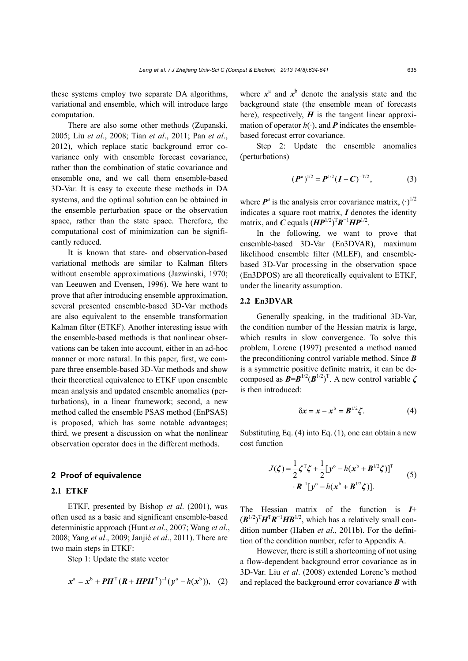these systems employ two separate DA algorithms, variational and ensemble, which will introduce large computation.

There are also some other methods (Zupanski, 2005; Liu *et al*., 2008; Tian *et al*., 2011; Pan *et al*., 2012), which replace static background error covariance only with ensemble forecast covariance, rather than the combination of static covariance and ensemble one, and we call them ensemble-based 3D-Var. It is easy to execute these methods in DA systems, and the optimal solution can be obtained in the ensemble perturbation space or the observation space, rather than the state space. Therefore, the computational cost of minimization can be significantly reduced.

It is known that state- and observation-based variational methods are similar to Kalman filters without ensemble approximations (Jazwinski, 1970; van Leeuwen and Evensen, 1996). We here want to prove that after introducing ensemble approximation, several presented ensemble-based 3D-Var methods are also equivalent to the ensemble transformation Kalman filter (ETKF). Another interesting issue with the ensemble-based methods is that nonlinear observations can be taken into account, either in an ad-hoc manner or more natural. In this paper, first, we compare three ensemble-based 3D-Var methods and show their theoretical equivalence to ETKF upon ensemble mean analysis and updated ensemble anomalies (perturbations), in a linear framework; second, a new method called the ensemble PSAS method (EnPSAS) is proposed, which has some notable advantages; third, we present a discussion on what the nonlinear observation operator does in the different methods.

#### **2 Proof of equivalence**

#### **2.1 ETKF**

ETKF, presented by Bishop *et al*. (2001), was often used as a basic and significant ensemble-based deterministic approach (Hunt *et al*., 2007; Wang *et al*., 2008; Yang *et al*., 2009; Janjić *et al*., 2011). There are two main steps in ETKF:

Step 1: Update the state vector

$$
x^{a} = x^{b} + PH^{T}(R + HPH^{T})^{-1}(y^{o} - h(x^{b})), (2)
$$

where  $x^a$  and  $x^b$  denote the analysis state and the background state (the ensemble mean of forecasts here), respectively,  $H$  is the tangent linear approximation of operator  $h(\cdot)$ , and **P** indicates the ensemblebased forecast error covariance.

Step 2: Update the ensemble anomalies (perturbations)

$$
(\boldsymbol{P}^{\mathrm{a}})^{1/2} = \boldsymbol{P}^{1/2} (\boldsymbol{I} + \boldsymbol{C})^{-T/2}, \tag{3}
$$

where  $P^a$  is the analysis error covariance matrix,  $(\cdot)^{1/2}$ indicates a square root matrix, *I* denotes the identity matrix, and *C* equals  $(HP^{1/2})^T R^{-1} H P^{1/2}$ .

In the following, we want to prove that ensemble-based 3D-Var (En3DVAR), maximum likelihood ensemble filter (MLEF), and ensemblebased 3D-Var processing in the observation space (En3DPOS) are all theoretically equivalent to ETKF, under the linearity assumption.

# **2.2 En3DVAR**

Generally speaking, in the traditional 3D-Var, the condition number of the Hessian matrix is large, which results in slow convergence. To solve this problem, Lorenc (1997) presented a method named the preconditioning control variable method. Since *B* is a symmetric positive definite matrix, it can be decomposed as  $\mathbf{B} = \mathbf{B}^{1/2} (\mathbf{B}^{1/2})^T$ . A new control variable  $\zeta$ is then introduced:

$$
\delta x = x - x^b = B^{1/2} \zeta. \tag{4}
$$

Substituting Eq. (4) into Eq. (1), one can obtain a new cost function

$$
J(\zeta) = \frac{1}{2}\zeta^{\mathrm{T}}\zeta + \frac{1}{2}[y^{\circ} - h(x^{\mathrm{b}} + B^{1/2}\zeta)]^{\mathrm{T}} \qquad (5)
$$

$$
\cdot \mathbf{R}^{-1}[y^{\circ} - h(x^{\mathrm{b}} + B^{1/2}\zeta)].
$$

The Hessian matrix of the function is *I*+  $(\mathbf{B}^{1/2})^{\mathrm{T}} \mathbf{H}^{\mathrm{T}} \mathbf{R}^{-1} \mathbf{H} \mathbf{B}^{1/2}$ , which has a relatively small condition number (Haben *et al*., 2011b). For the definition of the condition number, refer to Appendix A.

However, there is still a shortcoming of not using a flow-dependent background error covariance as in 3D-Var. Liu *et al*. (2008) extended Lorenc's method and replaced the background error covariance *B* with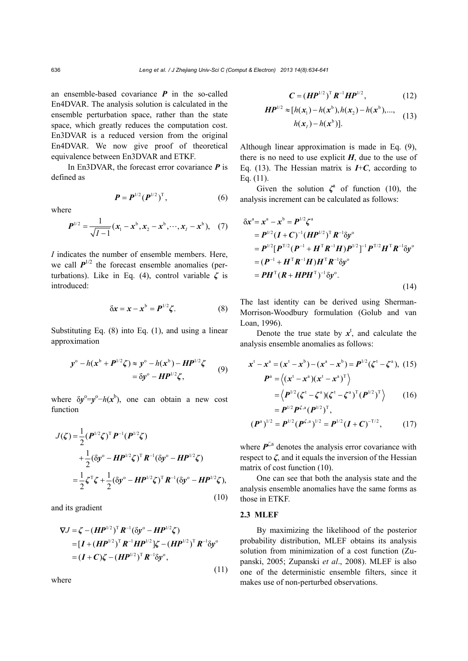an ensemble-based covariance *P* in the so-called En4DVAR. The analysis solution is calculated in the ensemble perturbation space, rather than the state space, which greatly reduces the computation cost. En3DVAR is a reduced version from the original En4DVAR. We now give proof of theoretical equivalence between En3DVAR and ETKF.

In En3DVAR, the forecast error covariance *P* is defined as

$$
P = P^{1/2} (P^{1/2})^T, \tag{6}
$$

where

$$
\boldsymbol{P}^{1/2} = \frac{1}{\sqrt{I-1}} (\boldsymbol{x}_1 - \boldsymbol{x}^{\mathrm{b}}, \boldsymbol{x}_2 - \boldsymbol{x}^{\mathrm{b}}, \cdots, \boldsymbol{x}_I - \boldsymbol{x}^{\mathrm{b}}), \quad (7)
$$

*I* indicates the number of ensemble members. Here, we call  $P^{1/2}$  the forecast ensemble anomalies (perturbations). Like in Eq. (4), control variable *ζ* is introduced:

$$
\delta x = x - x^b = P^{1/2} \zeta. \tag{8}
$$

Substituting Eq. (8) into Eq. (1), and using a linear approximation

$$
y^{\circ} - h(x^{b} + P^{1/2}\zeta) \approx y^{\circ} - h(x^{b}) - HP^{1/2}\zeta
$$
  
=  $\delta y^{\circ} - HP^{1/2}\zeta$ , (9)

where  $\delta y^{\circ} = y^{\circ} - h(x^{\circ})$ , one can obtain a new cost function

$$
J(\zeta) = \frac{1}{2} (P^{1/2} \zeta)^T P^{-1} (P^{1/2} \zeta)
$$
  
+ 
$$
\frac{1}{2} (\delta y^{\circ} - H P^{1/2} \zeta)^T R^{-1} (\delta y^{\circ} - H P^{1/2} \zeta)
$$
  
= 
$$
\frac{1}{2} \zeta^T \zeta + \frac{1}{2} (\delta y^{\circ} - H P^{1/2} \zeta)^T R^{-1} (\delta y^{\circ} - H P^{1/2} \zeta),
$$

and its gradient

$$
\nabla J = \zeta - (HP^{1/2})^{\mathrm{T}} R^{-1} (\delta y^{\circ} - HP^{1/2} \zeta)
$$
  
=  $[I + (HP^{1/2})^{\mathrm{T}} R^{-1}HP^{1/2}] \zeta - (HP^{1/2})^{\mathrm{T}} R^{-1} \delta y^{\circ}$   
=  $(I + C) \zeta - (HP^{1/2})^{\mathrm{T}} R^{-1} \delta y^{\circ}$ , (11)

where

$$
C = (HP^{1/2})^T R^{-1} H P^{1/2}, \qquad (12)
$$

$$
HP^{1/2} \approx [h(x_1) - h(x^b), h(x_2) - h(x^b), ..., h(x_t) - h(x^b)].
$$
 (13)

Although linear approximation is made in Eq. (9), there is no need to use explicit  $H$ , due to the use of Eq. (13). The Hessian matrix is  $I+C$ , according to Eq. (11).

Given the solution  $\zeta^{\text{a}}$  of function (10), the analysis increment can be calculated as follows:

$$
\delta x^{a} = x^{a} - x^{b} = P^{1/2} \zeta^{a}
$$
  
=  $P^{1/2} (I + C)^{-1} (H P^{1/2})^{T} R^{-1} \delta y^{o}$   
=  $P^{1/2} [P^{T/2} (P^{-1} + H^{T} R^{-1} H) P^{1/2}]^{-1} P^{T/2} H^{T} R^{-1} \delta y^{o}$   
=  $(P^{-1} + H^{T} R^{-1} H) H^{T} R^{-1} \delta y^{o}$   
=  $PH^{T} (R + H P H^{T})^{-1} \delta y^{o}$ . (14)

The last identity can be derived using Sherman-Morrison-Woodbury formulation (Golub and van Loan, 1996).

Denote the true state by  $x^{\dagger}$ , and calculate the analysis ensemble anomalies as follows:

$$
\mathbf{x}^{\mathrm{t}} - \mathbf{x}^{\mathrm{a}} = (\mathbf{x}^{\mathrm{t}} - \mathbf{x}^{\mathrm{b}}) - (\mathbf{x}^{\mathrm{a}} - \mathbf{x}^{\mathrm{b}}) = \boldsymbol{P}^{1/2} (\boldsymbol{\zeta}^{\mathrm{t}} - \boldsymbol{\zeta}^{\mathrm{a}}), (15) \n\boldsymbol{P}^{\mathrm{a}} = \langle (\mathbf{x}^{\mathrm{t}} - \mathbf{x}^{\mathrm{a}}) (\mathbf{x}^{\mathrm{t}} - \mathbf{x}^{\mathrm{a}})^{\mathrm{T}} \rangle \n= \langle \boldsymbol{P}^{1/2} (\boldsymbol{\zeta}^{\mathrm{t}} - \boldsymbol{\zeta}^{\mathrm{a}}) (\boldsymbol{\zeta}^{\mathrm{t}} - \boldsymbol{\zeta}^{\mathrm{a}})^{\mathrm{T}} (\boldsymbol{P}^{1/2})^{\mathrm{T}} \rangle \qquad (16) \n= \boldsymbol{P}^{1/2} \boldsymbol{P}^{\zeta, \mathrm{a}} (\boldsymbol{P}^{1/2})^{\mathrm{T}},
$$

$$
(\boldsymbol{P}^{\mathrm{a}})^{1/2} = \boldsymbol{P}^{1/2} (\boldsymbol{P}^{\zeta,\mathrm{a}})^{1/2} = \boldsymbol{P}^{1/2} (\boldsymbol{I} + \boldsymbol{C})^{-T/2}, \qquad (17)
$$

where  $P^{\zeta,a}$  denotes the analysis error covariance with respect to *ζ*, and it equals the inversion of the Hessian matrix of cost function (10).

One can see that both the analysis state and the analysis ensemble anomalies have the same forms as those in ETKF.

#### **2.3 MLEF**

(10)

By maximizing the likelihood of the posterior probability distribution, MLEF obtains its analysis solution from minimization of a cost function (Zupanski, 2005; Zupanski *et al*., 2008). MLEF is also one of the deterministic ensemble filters, since it makes use of non-perturbed observations.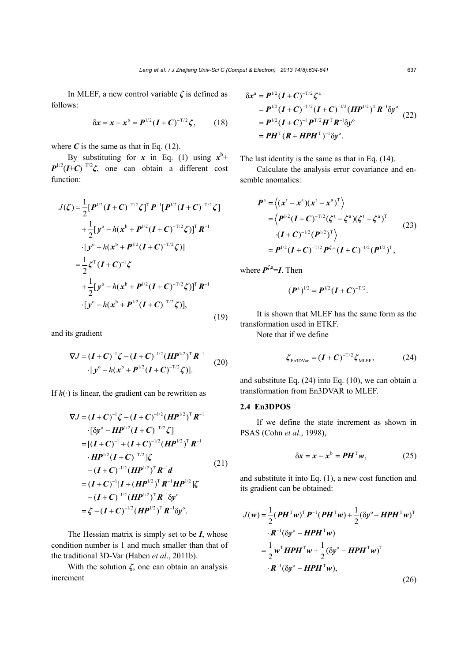In MLEF, a new control variable *ζ* is defined as follows:

$$
\delta x = x - x^b = P^{1/2} (I + C)^{-T/2} \zeta, \qquad (18)
$$

where  $C$  is the same as that in Eq. (12).

By substituting for *x* in Eq. (1) using  $x^b$ +  $P^{1/2}(I+C)^{-T/2}\zeta$ , one can obtain a different cost function:

$$
J(\zeta) = \frac{1}{2} [P^{1/2} (I + C)^{-T/2} \zeta]^T P^{-1} [P^{1/2} (I + C)^{-T/2} \zeta] + \frac{1}{2} [y^{\circ} - h(x^b + P^{1/2} (I + C)^{-T/2} \zeta)]^T R^{-1} \cdot [y^{\circ} - h(x^b + P^{1/2} (I + C)^{-T/2} \zeta)] = \frac{1}{2} \zeta^T (I + C)^{-1} \zeta + \frac{1}{2} [y^{\circ} - h(x^b + P^{1/2} (I + C)^{-T/2} \zeta)]^T R^{-1} \cdot [y^{\circ} - h(x^b + P^{1/2} (I + C)^{-T/2} \zeta)],
$$
(19)

and its gradient

$$
\nabla J = (I + C)^{-1} \zeta - (I + C)^{-1/2} (H P^{1/2})^{\mathrm{T}} R^{-1}
$$
  
 
$$
\cdot [y^{\circ} - h(x^{\mathrm{b}} + P^{1/2} (I + C)^{-T/2} \zeta)]. \tag{20}
$$

If  $h(\cdot)$  is linear, the gradient can be rewritten as

$$
\nabla J = (I + C)^{-1} \zeta - (I + C)^{-1/2} (HP^{1/2})^{\mathrm{T}} R^{-1}
$$
  
\n
$$
\cdot [\delta y^{\circ} - HP^{1/2} (I + C)^{-T/2} \zeta]
$$
  
\n
$$
= [(I + C)^{-1} + (I + C)^{-1/2} (HP^{1/2})^{\mathrm{T}} R^{-1}
$$
  
\n
$$
\cdot HP^{1/2} (I + C)^{-T/2}] \zeta
$$
  
\n
$$
- (I + C)^{-1/2} (HP^{1/2})^{\mathrm{T}} R^{-1} d
$$
  
\n
$$
= (I + C)^{-1} [I + (HP^{1/2})^{\mathrm{T}} R^{-1} HP^{1/2}] \zeta
$$
  
\n
$$
- (I + C)^{-1/2} (HP^{1/2})^{\mathrm{T}} R^{-1} \delta y^{\circ}
$$
  
\n
$$
= \zeta - (I + C)^{-1/2} (HP^{1/2})^{\mathrm{T}} R^{-1} \delta y^{\circ}.
$$

The Hessian matrix is simply set to be *I*, whose condition number is 1 and much smaller than that of the traditional 3D-Var (Haben *et al*., 2011b).

With the solution *ζ*, one can obtain an analysis increment

$$
\delta x^{a} = P^{1/2} (I + C)^{-T/2} \zeta^{a}
$$
  
=  $P^{1/2} (I + C)^{-T/2} (I + C)^{-1/2} (HP^{1/2})^{T} R^{-1} \delta y^{o}$   
=  $P^{1/2} (I + C)^{-1} P^{T/2} H^{T} R^{-1} \delta y^{o}$   
=  $PH^{T} (R + HPH^{T})^{-1} \delta y^{o}$ . (22)

The last identity is the same as that in Eq. (14).

Calculate the analysis error covariance and ensemble anomalies:

$$
\begin{split} \boldsymbol{P}^{\rm a} &= \left\langle (\boldsymbol{x}^{\rm t} - \boldsymbol{x}^{\rm a}) (\boldsymbol{x}^{\rm t} - \boldsymbol{x}^{\rm a})^{\rm T} \right\rangle \\ &= \left\langle \boldsymbol{P}^{\rm 1/2} (\boldsymbol{I} + \boldsymbol{C})^{-\rm T/2} (\boldsymbol{\zeta}^{\rm t} - \boldsymbol{\zeta}^{\rm a}) (\boldsymbol{\zeta}^{\rm t} - \boldsymbol{\zeta}^{\rm a})^{\rm T} \\ &\cdot (\boldsymbol{I} + \boldsymbol{C})^{-\rm 1/2} (\boldsymbol{P}^{\rm 1/2})^{\rm T} \right\rangle \\ &= \boldsymbol{P}^{\rm 1/2} (\boldsymbol{I} + \boldsymbol{C})^{-\rm T/2} \boldsymbol{P}^{\rm C,a} (\boldsymbol{I} + \boldsymbol{C})^{-\rm 1/2} (\boldsymbol{P}^{\rm 1/2})^{\rm T}, \end{split} \tag{23}
$$

where  $\vec{P}^{\zeta,a} = I$ . Then

$$
(\boldsymbol{P}^{\mathrm{a}})^{1/2} = \boldsymbol{P}^{1/2} (\boldsymbol{I} + \boldsymbol{C})^{-T/2}.
$$

It is shown that MLEF has the same form as the transformation used in ETKF.

Note that if we define

$$
\boldsymbol{\zeta}_{\text{En3DVar}} = (\boldsymbol{I} + \boldsymbol{C})^{-T/2} \boldsymbol{\zeta}_{\text{MLEF}},
$$
 (24)

and substitute Eq. (24) into Eq. (10), we can obtain a transformation from En3DVAR to MLEF.

# **2.4 En3DPOS**

If we define the state increment as shown in PSAS (Cohn *et al*., 1998),

$$
\delta x = x - x^b = PH^{\mathrm{T}} w,\tag{25}
$$

and substitute it into Eq. (1), a new cost function and its gradient can be obtained:

$$
J(w) = \frac{1}{2} (PH^{\mathrm{T}}w)^{\mathrm{T}} P^{-1} (PH^{\mathrm{T}}w) + \frac{1}{2} (\delta y^{\circ} - HPH^{\mathrm{T}}w)^{\mathrm{T}}
$$

$$
\cdot R^{-1} (\delta y^{\circ} - HPH^{\mathrm{T}}w)
$$

$$
= \frac{1}{2} w^{\mathrm{T}} HPH^{\mathrm{T}}w + \frac{1}{2} (\delta y^{\circ} - HPH^{\mathrm{T}}w)^{\mathrm{T}}
$$

$$
\cdot R^{-1} (\delta y^{\circ} - HPH^{\mathrm{T}}w),
$$
(26)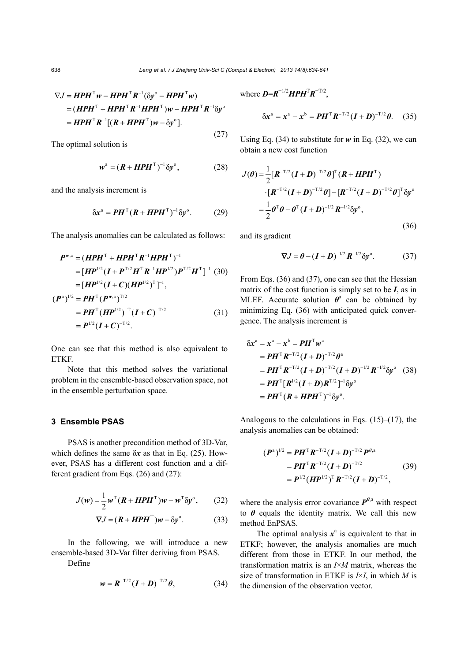(27)

$$
\nabla J = HPH^{\mathrm{T}}w - HPH^{\mathrm{T}}R^{-1}(\delta y^{\circ} - HPH^{\mathrm{T}}w)
$$
  
= 
$$
(HPH^{\mathrm{T}} + HPH^{\mathrm{T}}R^{-1}HPH^{\mathrm{T}})w - HPH^{\mathrm{T}}R^{-1}\delta y^{\circ}
$$
  
= 
$$
HPH^{\mathrm{T}}R^{-1}[(R + HPH^{\mathrm{T}})w - \delta y^{\circ}].
$$

The optimal solution is

$$
\boldsymbol{w}^{\mathrm{a}} = (\boldsymbol{R} + \boldsymbol{H} \boldsymbol{P} \boldsymbol{H}^{\mathrm{T}})^{-1} \delta \boldsymbol{y}^{\mathrm{o}}, \tag{28}
$$

and the analysis increment is

$$
\delta x^{\mathfrak{a}} = \boldsymbol{P} \boldsymbol{H}^{\mathrm{T}} (\boldsymbol{R} + \boldsymbol{H} \boldsymbol{P} \boldsymbol{H}^{\mathrm{T}})^{-1} \delta y^{\mathfrak{a}}. \tag{29}
$$

The analysis anomalies can be calculated as follows:

$$
P^{w,a} = (HPH^{\mathrm{T}} + HPH^{\mathrm{T}}R^{-1}HPH^{\mathrm{T}})^{-1}
$$
  
\n
$$
= [HP^{1/2}(I + P^{\mathrm{T}/2}H^{\mathrm{T}}R^{-1}HP^{1/2})P^{\mathrm{T}/2}H^{\mathrm{T}}]^{-1}
$$
 (30)  
\n
$$
= [HP^{1/2}(I + C)(HP^{1/2})^{\mathrm{T}}]^{-1},
$$
  
\n
$$
(P^{a})^{1/2} = PH^{\mathrm{T}}(P^{w,a})^{\mathrm{T}/2}
$$
  
\n
$$
= PH^{\mathrm{T}}(HP^{1/2})^{-\mathrm{T}}(I + C)^{-\mathrm{T}/2}
$$
 (31)  
\n
$$
= P^{1/2}(I + C)^{-\mathrm{T}/2}.
$$

One can see that this method is also equivalent to **ETKF** 

Note that this method solves the variational problem in the ensemble-based observation space, not in the ensemble perturbation space.

# **3 Ensemble PSAS**

PSAS is another precondition method of 3D-Var, which defines the same δ*x* as that in Eq. (25). However, PSAS has a different cost function and a different gradient from Eqs. (26) and (27):

$$
J(w) = \frac{1}{2} w^{T} (R + HPH^{T}) w - w^{T} \delta y^{\circ},
$$
 (32)

$$
\nabla J = (R + H\boldsymbol{P}H^{\mathrm{T}})\boldsymbol{w} - \delta \boldsymbol{y}^{\circ}. \tag{33}
$$

In the following, we will introduce a new ensemble-based 3D-Var filter deriving from PSAS.

Define

$$
w = R^{-T/2} (I + D)^{-T/2} \theta, \tag{34}
$$

where  $\boldsymbol{D} = \boldsymbol{R}^{-1/2} \boldsymbol{H} \boldsymbol{P} \boldsymbol{H}^{\mathrm{T}} \boldsymbol{R}^{-T/2}$ ,  $\delta x^{\text{a}} = x^{\text{a}} - x^{\text{b}} = PH^{\text{T}} R^{-T/2} (I + D)^{-T/2} \theta.$  (35)

Using Eq. (34) to substitute for *w* in Eq. (32), we can obtain a new cost function

$$
J(\theta) = \frac{1}{2} [\boldsymbol{R}^{-T/2} (\boldsymbol{I} + \boldsymbol{D})^{-T/2} \theta]^{\mathrm{T}} (\boldsymbol{R} + \boldsymbol{H} \boldsymbol{P} \boldsymbol{H}^{\mathrm{T}})
$$
  
\n
$$
\cdot [\boldsymbol{R}^{-T/2} (\boldsymbol{I} + \boldsymbol{D})^{-T/2} \theta] - [\boldsymbol{R}^{-T/2} (\boldsymbol{I} + \boldsymbol{D})^{-T/2} \theta]^{\mathrm{T}} \delta \boldsymbol{y}^{\mathrm{o}}
$$
  
\n
$$
= \frac{1}{2} \theta^{\mathrm{T}} \theta - \theta^{\mathrm{T}} (\boldsymbol{I} + \boldsymbol{D})^{-1/2} \boldsymbol{R}^{-1/2} \delta \boldsymbol{y}^{\mathrm{o}},
$$
\n(36)

and its gradient

$$
\nabla J = \boldsymbol{\theta} - (\boldsymbol{I} + \boldsymbol{D})^{-1/2} \boldsymbol{R}^{-1/2} \delta \boldsymbol{y}^{\circ}.
$$
 (37)

From Eqs. (36) and (37), one can see that the Hessian matrix of the cost function is simply set to be *I*, as in MLEF. Accurate solution  $\theta^a$  can be obtained by minimizing Eq. (36) with anticipated quick convergence. The analysis increment is

$$
\delta x^{a} = x^{a} - x^{b} = PH^{T} w^{a}
$$
  
=  $PH^{T} R^{-T/2} (I + D)^{-T/2} \theta^{a}$   
=  $PH^{T} R^{-T/2} (I + D)^{-T/2} (I + D)^{-1/2} R^{-1/2} \delta y^{\circ}$  (38)  
=  $PH^{T} [R^{1/2} (I + D) R^{T/2}]^{-1} \delta y^{\circ}$   
=  $PH^{T} (R + HPH^{T})^{-1} \delta y^{\circ}$ .

Analogous to the calculations in Eqs.  $(15)$ – $(17)$ , the analysis anomalies can be obtained:

$$
\begin{aligned} \left(\boldsymbol{P}^{\mathrm{a}}\right)^{1/2} &= \boldsymbol{P}\boldsymbol{H}^{\mathrm{T}}\boldsymbol{R}^{-\mathrm{T}/2}(\boldsymbol{I}+\boldsymbol{D})^{-\mathrm{T}/2}\boldsymbol{P}^{\theta,\mathrm{a}} \\ &= \boldsymbol{P}\boldsymbol{H}^{\mathrm{T}}\boldsymbol{R}^{-\mathrm{T}/2}(\boldsymbol{I}+\boldsymbol{D})^{-\mathrm{T}/2} \\ &= \boldsymbol{P}^{1/2}(\boldsymbol{H}\boldsymbol{P}^{1/2})^{\mathrm{T}}\boldsymbol{R}^{-\mathrm{T}/2}(\boldsymbol{I}+\boldsymbol{D})^{-\mathrm{T}/2}, \end{aligned} \tag{39}
$$

where the analysis error covariance  $P^{\theta,a}$  with respect to  $\theta$  equals the identity matrix. We call this new method EnPSAS.

The optimal analysis  $x^a$  is equivalent to that in ETKF; however, the analysis anomalies are much different from those in ETKF. In our method, the transformation matrix is an *I*×*M* matrix, whereas the size of transformation in ETKF is *I*×*I*, in which *M* is the dimension of the observation vector.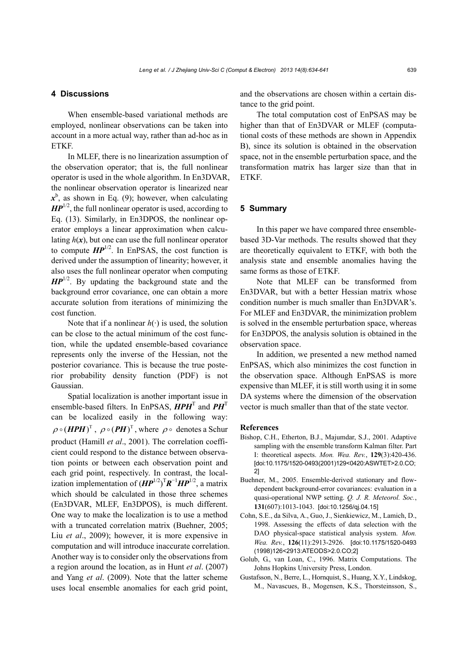#### *Leng et al. / J Zhejiang Univ-Sci C (Comput & Electron) 2013 14(8):634-641* 639

# **4 Discussions**

When ensemble-based variational methods are employed, nonlinear observations can be taken into account in a more actual way, rather than ad-hoc as in ETKF.

In MLEF, there is no linearization assumption of the observation operator; that is, the full nonlinear operator is used in the whole algorithm. In En3DVAR, the nonlinear observation operator is linearized near  $x^b$ , as shown in Eq. (9); however, when calculating  $\mathbf{H} \mathbf{P}^{1/2}$ , the full nonlinear operator is used, according to Eq. (13). Similarly, in En3DPOS, the nonlinear operator employs a linear approximation when calculating  $h(x)$ , but one can use the full nonlinear operator to compute  $HP^{1/2}$ . In EnPSAS, the cost function is derived under the assumption of linearity; however, it also uses the full nonlinear operator when computing *HP*<sup>1/2</sup>. By updating the background state and the background error covariance, one can obtain a more accurate solution from iterations of minimizing the cost function.

Note that if a nonlinear  $h(\cdot)$  is used, the solution can be close to the actual minimum of the cost function, while the updated ensemble-based covariance represents only the inverse of the Hessian, not the posterior covariance. This is because the true posterior probability density function (PDF) is not Gaussian.

Spatial localization is another important issue in ensemble-based filters. In EnPSAS, *HPH*<sup>T</sup> and *PH*<sup>T</sup> can be localized easily in the following way:  $\rho \circ (HPH)^T$ ,  $\rho \circ (PH)^T$ , where  $\rho \circ$  denotes a Schur product (Hamill *et al*., 2001). The correlation coefficient could respond to the distance between observation points or between each observation point and each grid point, respectively. In contrast, the localization implementation of  $(HP^{1/2})^T R^{-1} H P^{1/2}$ , a matrix which should be calculated in those three schemes (En3DVAR, MLEF, En3DPOS), is much different. One way to make the localization is to use a method with a truncated correlation matrix (Buehner, 2005; Liu *et al*., 2009); however, it is more expensive in computation and will introduce inaccurate correlation. Another way is to consider only the observations from a region around the location, as in Hunt *et al*. (2007) and Yang *et al*. (2009). Note that the latter scheme uses local ensemble anomalies for each grid point,

and the observations are chosen within a certain distance to the grid point.

The total computation cost of EnPSAS may be higher than that of En3DVAR or MLEF (computational costs of these methods are shown in Appendix B), since its solution is obtained in the observation space, not in the ensemble perturbation space, and the transformation matrix has larger size than that in ETKF.

#### **5 Summary**

In this paper we have compared three ensemblebased 3D-Var methods. The results showed that they are theoretically equivalent to ETKF, with both the analysis state and ensemble anomalies having the same forms as those of ETKF.

Note that MLEF can be transformed from En3DVAR, but with a better Hessian matrix whose condition number is much smaller than En3DVAR's. For MLEF and En3DVAR, the minimization problem is solved in the ensemble perturbation space, whereas for En3DPOS, the analysis solution is obtained in the observation space.

In addition, we presented a new method named EnPSAS, which also minimizes the cost function in the observation space. Although EnPSAS is more expensive than MLEF, it is still worth using it in some DA systems where the dimension of the observation vector is much smaller than that of the state vector.

#### **References**

- Bishop, C.H., Etherton, B.J., Majumdar, S.J., 2001. Adaptive sampling with the ensemble transform Kalman filter. Part I: theoretical aspects. *Mon. Wea. Rev.*, **129**(3):420-436. [doi:10.1175/1520-0493(2001)129<0420:ASWTET>2.0.CO; 2]
- Buehner, M., 2005. Ensemble-derived stationary and flowdependent background-error covariances: evaluation in a quasi-operational NWP setting. *Q. J. R. Meteorol. Soc.*, **131**(607):1013-1043. [doi:10.1256/qj.04.15]
- Cohn, S.E., da Silva, A., Guo, J., Sienkiewicz, M., Lamich, D., 1998. Assessing the effects of data selection with the DAO physical-space statistical analysis system. *Mon. Wea. Rev.*, **126**(11):2913-2926. [doi:10.1175/1520-0493 (1998)126<2913:ATEODS>2.0.CO;2]
- Golub, G., van Loan, C., 1996. Matrix Computations. The Johns Hopkins University Press, London.
- Gustafsson, N., Berre, L., Hornquist, S., Huang, X.Y., Lindskog, M., Navascues, B., Mogensen, K.S., Thorsteinsson, S.,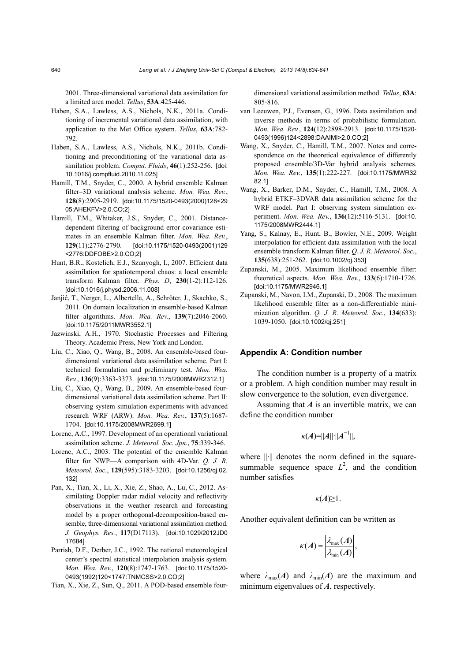2001. Three-dimensional variational data assimilation for a limited area model. *Tellus*, **53A**:425-446.

- Haben, S.A., Lawless, A.S., Nichols, N.K., 2011a. Conditioning of incremental variational data assimilation, with application to the Met Office system. *Tellus*, **63A**:782- 792.
- Haben, S.A., Lawless, A.S., Nichols, N.K., 2011b. Conditioning and preconditioning of the variational data assimilation problem. *Comput. Fluids*, **46**(1):252-256. [doi: 10.1016/j.compfluid.2010.11.025]
- Hamill, T.M., Snyder, C., 2000. A hybrid ensemble Kalman filter–3D variational analysis scheme. *Mon. Wea. Rev.*, **128**(8):2905-2919. [doi:10.1175/1520-0493(2000)128<29 05:AHEKFV>2.0.CO;2]
- Hamill, T.M., Whitaker, J.S., Snyder, C., 2001. Distancedependent filtering of background error covariance estimates in an ensemble Kalman filter. *Mon. Wea. Rev.*, **129**(11):2776-2790. [doi:10.1175/1520-0493(2001)129 <2776:DDFOBE>2.0.CO;2]
- Hunt, B.R., Kostelich, E.J., Szunyogh, I., 2007. Efficient data assimilation for spatiotemporal chaos: a local ensemble transform Kalman filter. *Phys. D*, **230**(1-2):112-126. [doi:10.1016/j.physd.2006.11.008]
- Janjić, T., Nerger, L., Albertella, A., Schröter, J., Skachko, S., 2011. On domain localization in ensemble-based Kalman filter algorithms. *Mon. Wea. Rev.*, **139**(7):2046-2060. [doi:10.1175/2011MWR3552.1]
- Jazwinski, A.H., 1970. Stochastic Processes and Filtering Theory. Academic Press, New York and London.
- Liu, C., Xiao, Q., Wang, B., 2008. An ensemble-based fourdimensional variational data assimilation scheme. Part I: technical formulation and preliminary test. *Mon. Wea. Rev.*, **136**(9):3363-3373. [doi:10.1175/2008MWR2312.1]
- Liu, C., Xiao, Q., Wang, B., 2009. An ensemble-based fourdimensional variational data assimilation scheme. Part II: observing system simulation experiments with advanced research WRF (ARW). *Mon. Wea. Rev.*, **137**(5):1687- 1704. [doi:10.1175/2008MWR2699.1]
- Lorenc, A.C., 1997. Development of an operational variational assimilation scheme. *J. Meteorol. Soc. Jpn.*, **75**:339-346.
- Lorenc, A.C., 2003. The potential of the ensemble Kalman filter for NWP—A comparison with 4D-Var. *Q. J. R. Meteorol. Soc.*, **129**(595):3183-3203. [doi:10.1256/qj.02. 132]
- Pan, X., Tian, X., Li, X., Xie, Z., Shao, A., Lu, C., 2012. Assimilating Doppler radar radial velocity and reflectivity observations in the weather research and forecasting model by a proper orthogonal-decomposition-based ensemble, three-dimensional variational assimilation method. *J. Geophys. Res.*, **117**(D17113). [doi:10.1029/2012JD0 17684]
- Parrish, D.F., Derber, J.C., 1992. The national meteorological center's spectral statistical interpolation analysis system. *Mon. Wea. Rev.*, **120**(8):1747-1763. [doi:10.1175/1520- 0493(1992)120<1747:TNMCSS>2.0.CO;2]
- Tian, X., Xie, Z., Sun, Q., 2011. A POD-based ensemble four-

dimensional variational assimilation method. *Tellus*, **63A**: 805-816.

- van Leeuwen, P.J., Evensen, G., 1996. Data assimilation and inverse methods in terms of probabilistic formulation. *Mon. Wea. Rev.*, **124**(12):2898-2913. [doi:10.1175/1520- 0493(1996)124<2898:DAAIMI>2.0.CO;2]
- Wang, X., Snyder, C., Hamill, T.M., 2007. Notes and correspondence on the theoretical equivalence of differently proposed ensemble/3D-Var hybrid analysis schemes. *Mon. Wea. Rev.*, **135**(1):222-227. [doi:10.1175/MWR32 82.1]
- Wang, X., Barker, D.M., Snyder, C., Hamill, T.M., 2008. A hybrid ETKF–3DVAR data assimilation scheme for the WRF model. Part I: observing system simulation experiment. *Mon. Wea. Rev.*, **136**(12):5116-5131. [doi:10. 1175/2008MWR2444.1]
- Yang, S., Kalnay, E., Hunt, B., Bowler, N.E., 2009. Weight interpolation for efficient data assimilation with the local ensemble transform Kalman filter. *Q. J. R. Meteorol. Soc.*, **135**(638):251-262. [doi:10.1002/qj.353]
- Zupanski, M., 2005. Maximum likelihood ensemble filter: theoretical aspects. *Mon. Wea. Rev.*, **133**(6):1710-1726. [doi:10.1175/MWR2946.1]
- Zupanski, M., Navon, I.M., Zupanski, D., 2008. The maximum likelihood ensemble filter as a non-differentiable minimization algorithm. *Q. J. R. Meteorol. Soc.*, **134**(633): 1039-1050. [doi:10.1002/qj.251]

#### **Appendix A: Condition number**

The condition number is a property of a matrix or a problem. A high condition number may result in slow convergence to the solution, even divergence.

Assuming that *A* is an invertible matrix, we can define the condition number

$$
\kappa(A)=||A||\cdot||A^{-1}||,
$$

where  $\left\| \cdot \right\|$  denotes the norm defined in the squaresummable sequence space  $L^2$ , and the condition number satisfies

$$
\kappa(A)\geq 1.
$$

Another equivalent definition can be written as

$$
\kappa(A) = \left| \frac{\lambda_{\max}(A)}{\lambda_{\min}(A)} \right|,
$$

where  $\lambda_{\text{max}}(A)$  and  $\lambda_{\text{min}}(A)$  are the maximum and minimum eigenvalues of *A*, respectively.